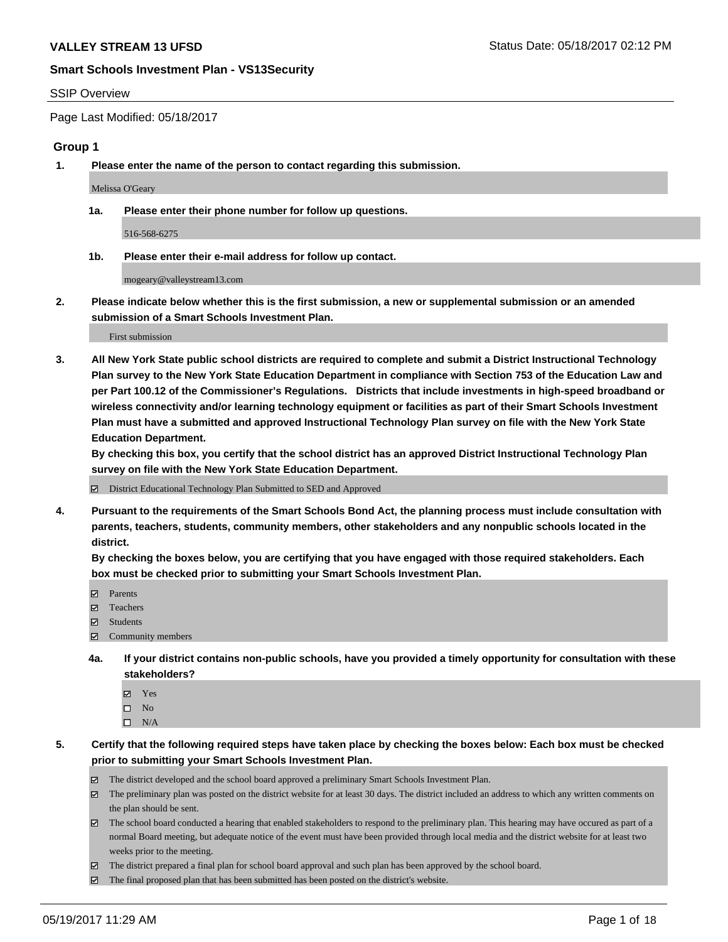### SSIP Overview

Page Last Modified: 05/18/2017

### **Group 1**

**1. Please enter the name of the person to contact regarding this submission.**

Melissa O'Geary

**1a. Please enter their phone number for follow up questions.**

516-568-6275

**1b. Please enter their e-mail address for follow up contact.**

mogeary@valleystream13.com

**2. Please indicate below whether this is the first submission, a new or supplemental submission or an amended submission of a Smart Schools Investment Plan.**

First submission

**3. All New York State public school districts are required to complete and submit a District Instructional Technology Plan survey to the New York State Education Department in compliance with Section 753 of the Education Law and per Part 100.12 of the Commissioner's Regulations. Districts that include investments in high-speed broadband or wireless connectivity and/or learning technology equipment or facilities as part of their Smart Schools Investment Plan must have a submitted and approved Instructional Technology Plan survey on file with the New York State Education Department.** 

**By checking this box, you certify that the school district has an approved District Instructional Technology Plan survey on file with the New York State Education Department.**

District Educational Technology Plan Submitted to SED and Approved

**4. Pursuant to the requirements of the Smart Schools Bond Act, the planning process must include consultation with parents, teachers, students, community members, other stakeholders and any nonpublic schools located in the district.** 

**By checking the boxes below, you are certifying that you have engaged with those required stakeholders. Each box must be checked prior to submitting your Smart Schools Investment Plan.**

- **マ** Parents
- □ Teachers
- Students
- $\Xi$  Community members
- **4a. If your district contains non-public schools, have you provided a timely opportunity for consultation with these stakeholders?**
	- Yes
	- $\hfill \square$  No
	- $\square$  N/A
- **5. Certify that the following required steps have taken place by checking the boxes below: Each box must be checked prior to submitting your Smart Schools Investment Plan.**
	- The district developed and the school board approved a preliminary Smart Schools Investment Plan.
	- $\boxtimes$  The preliminary plan was posted on the district website for at least 30 days. The district included an address to which any written comments on the plan should be sent.
	- $\boxtimes$  The school board conducted a hearing that enabled stakeholders to respond to the preliminary plan. This hearing may have occured as part of a normal Board meeting, but adequate notice of the event must have been provided through local media and the district website for at least two weeks prior to the meeting.
	- The district prepared a final plan for school board approval and such plan has been approved by the school board.
	- $\boxtimes$  The final proposed plan that has been submitted has been posted on the district's website.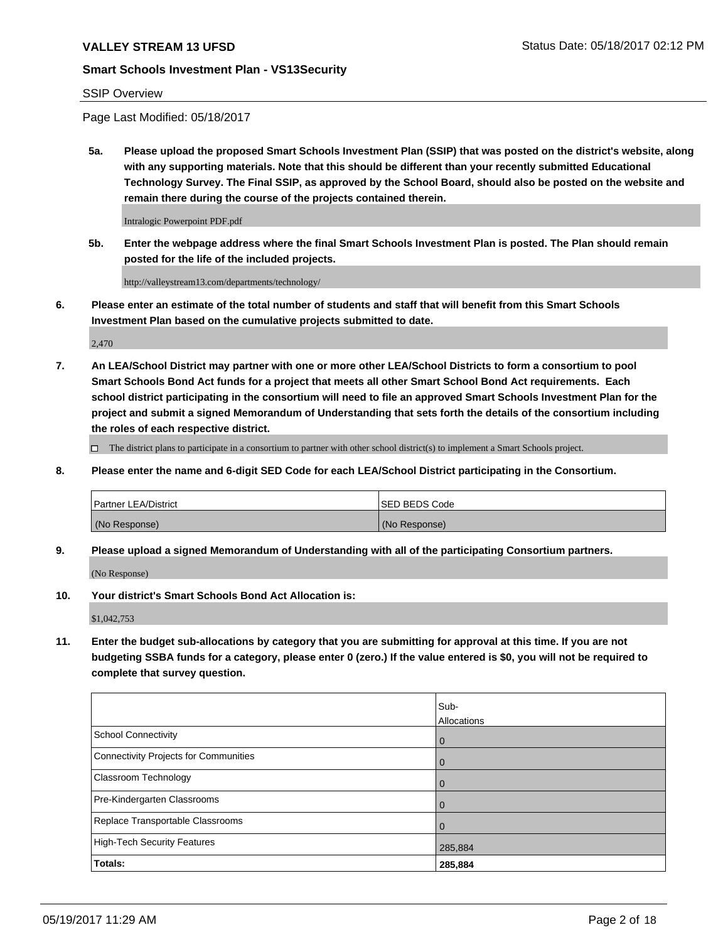### SSIP Overview

Page Last Modified: 05/18/2017

**5a. Please upload the proposed Smart Schools Investment Plan (SSIP) that was posted on the district's website, along with any supporting materials. Note that this should be different than your recently submitted Educational Technology Survey. The Final SSIP, as approved by the School Board, should also be posted on the website and remain there during the course of the projects contained therein.**

Intralogic Powerpoint PDF.pdf

**5b. Enter the webpage address where the final Smart Schools Investment Plan is posted. The Plan should remain posted for the life of the included projects.**

http://valleystream13.com/departments/technology/

**6. Please enter an estimate of the total number of students and staff that will benefit from this Smart Schools Investment Plan based on the cumulative projects submitted to date.**

2,470

**7. An LEA/School District may partner with one or more other LEA/School Districts to form a consortium to pool Smart Schools Bond Act funds for a project that meets all other Smart School Bond Act requirements. Each school district participating in the consortium will need to file an approved Smart Schools Investment Plan for the project and submit a signed Memorandum of Understanding that sets forth the details of the consortium including the roles of each respective district.**

 $\Box$  The district plans to participate in a consortium to partner with other school district(s) to implement a Smart Schools project.

**8. Please enter the name and 6-digit SED Code for each LEA/School District participating in the Consortium.**

| l Partner LEA/District | <b>ISED BEDS Code</b> |
|------------------------|-----------------------|
| (No Response)          | (No Response)         |

**9. Please upload a signed Memorandum of Understanding with all of the participating Consortium partners.**

(No Response)

**10. Your district's Smart Schools Bond Act Allocation is:**

\$1,042,753

**11. Enter the budget sub-allocations by category that you are submitting for approval at this time. If you are not budgeting SSBA funds for a category, please enter 0 (zero.) If the value entered is \$0, you will not be required to complete that survey question.**

|                                       | Sub-        |
|---------------------------------------|-------------|
|                                       | Allocations |
| <b>School Connectivity</b>            | 0           |
| Connectivity Projects for Communities | 0           |
| <b>Classroom Technology</b>           | 0           |
| Pre-Kindergarten Classrooms           | 0           |
| Replace Transportable Classrooms      | 0           |
| <b>High-Tech Security Features</b>    | 285,884     |
| Totals:                               | 285,884     |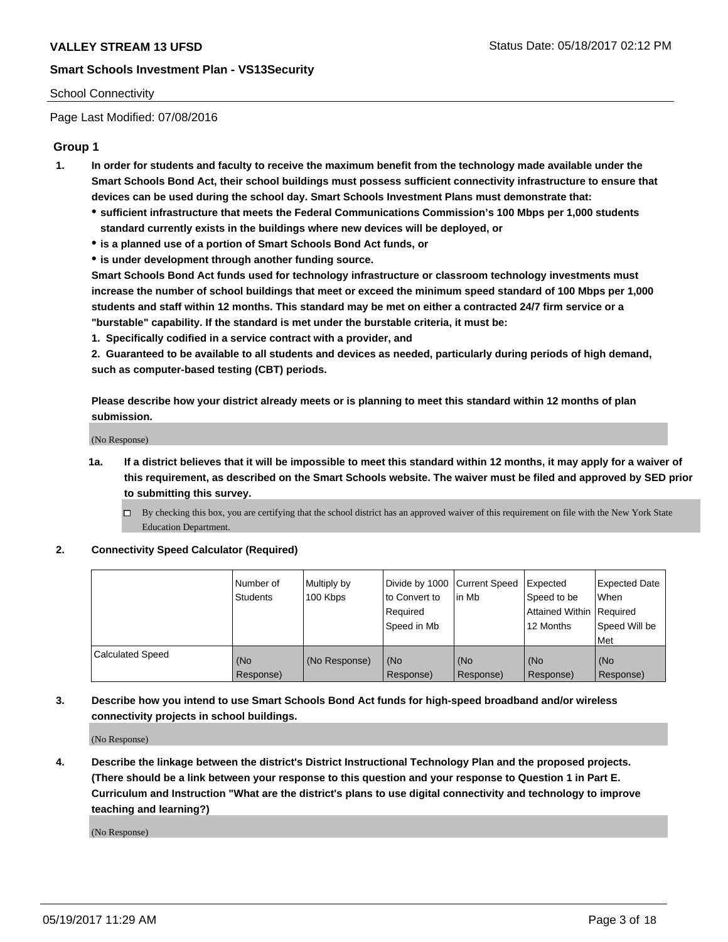### School Connectivity

Page Last Modified: 07/08/2016

## **Group 1**

- **1. In order for students and faculty to receive the maximum benefit from the technology made available under the Smart Schools Bond Act, their school buildings must possess sufficient connectivity infrastructure to ensure that devices can be used during the school day. Smart Schools Investment Plans must demonstrate that:**
	- **sufficient infrastructure that meets the Federal Communications Commission's 100 Mbps per 1,000 students standard currently exists in the buildings where new devices will be deployed, or**
	- **is a planned use of a portion of Smart Schools Bond Act funds, or**
	- **is under development through another funding source.**

**Smart Schools Bond Act funds used for technology infrastructure or classroom technology investments must increase the number of school buildings that meet or exceed the minimum speed standard of 100 Mbps per 1,000 students and staff within 12 months. This standard may be met on either a contracted 24/7 firm service or a "burstable" capability. If the standard is met under the burstable criteria, it must be:**

**1. Specifically codified in a service contract with a provider, and**

**2. Guaranteed to be available to all students and devices as needed, particularly during periods of high demand, such as computer-based testing (CBT) periods.**

**Please describe how your district already meets or is planning to meet this standard within 12 months of plan submission.**

(No Response)

- **1a. If a district believes that it will be impossible to meet this standard within 12 months, it may apply for a waiver of this requirement, as described on the Smart Schools website. The waiver must be filed and approved by SED prior to submitting this survey.**
	- By checking this box, you are certifying that the school district has an approved waiver of this requirement on file with the New York State Education Department.

### **2. Connectivity Speed Calculator (Required)**

|                         | l Number of<br><b>Students</b> | Multiply by<br>100 Kbps | Divide by 1000   Current Speed<br>to Convert to<br>Required<br>l Speed in Mb | in Mb            | Expected<br>Speed to be<br>Attained Within Required<br>12 Months | <b>Expected Date</b><br>When<br>Speed Will be<br><b>Met</b> |
|-------------------------|--------------------------------|-------------------------|------------------------------------------------------------------------------|------------------|------------------------------------------------------------------|-------------------------------------------------------------|
| <b>Calculated Speed</b> | (No<br>Response)               | (No Response)           | (No<br>Response)                                                             | (No<br>Response) | (No<br>Response)                                                 | l (No<br>Response)                                          |

## **3. Describe how you intend to use Smart Schools Bond Act funds for high-speed broadband and/or wireless connectivity projects in school buildings.**

(No Response)

**4. Describe the linkage between the district's District Instructional Technology Plan and the proposed projects. (There should be a link between your response to this question and your response to Question 1 in Part E. Curriculum and Instruction "What are the district's plans to use digital connectivity and technology to improve teaching and learning?)**

(No Response)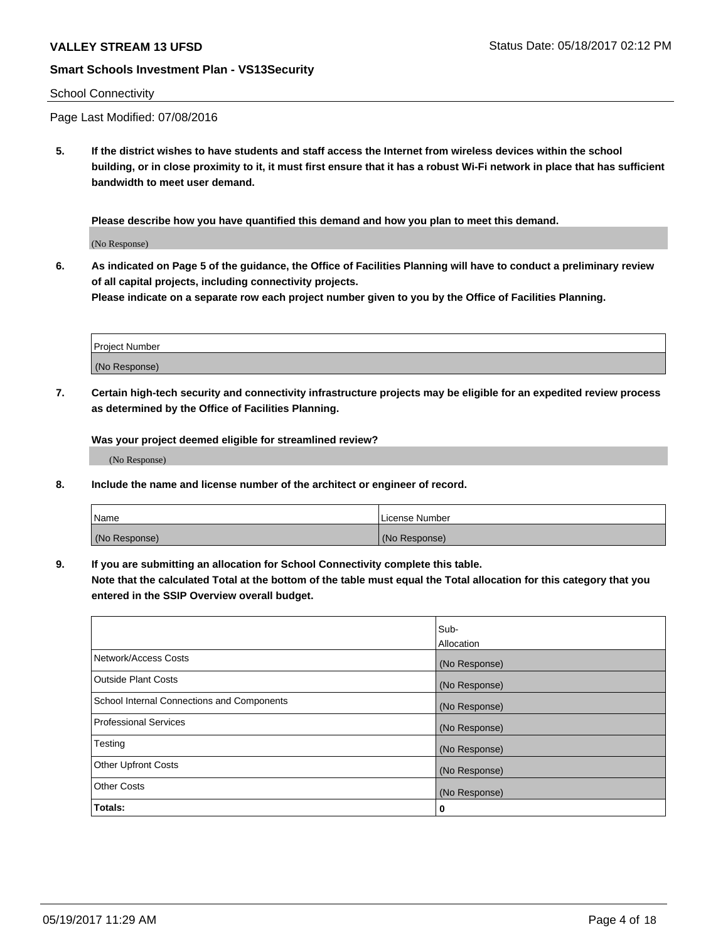### School Connectivity

Page Last Modified: 07/08/2016

**5. If the district wishes to have students and staff access the Internet from wireless devices within the school building, or in close proximity to it, it must first ensure that it has a robust Wi-Fi network in place that has sufficient bandwidth to meet user demand.**

**Please describe how you have quantified this demand and how you plan to meet this demand.**

(No Response)

**6. As indicated on Page 5 of the guidance, the Office of Facilities Planning will have to conduct a preliminary review of all capital projects, including connectivity projects.**

**Please indicate on a separate row each project number given to you by the Office of Facilities Planning.**

| Project Number |  |
|----------------|--|
|                |  |
| (No Response)  |  |

**7. Certain high-tech security and connectivity infrastructure projects may be eligible for an expedited review process as determined by the Office of Facilities Planning.**

**Was your project deemed eligible for streamlined review?**

(No Response)

**8. Include the name and license number of the architect or engineer of record.**

| <b>Name</b>   | License Number |
|---------------|----------------|
| (No Response) | (No Response)  |

**9. If you are submitting an allocation for School Connectivity complete this table.**

**Note that the calculated Total at the bottom of the table must equal the Total allocation for this category that you entered in the SSIP Overview overall budget.** 

|                                            | Sub-              |
|--------------------------------------------|-------------------|
|                                            | <b>Allocation</b> |
| Network/Access Costs                       | (No Response)     |
| <b>Outside Plant Costs</b>                 | (No Response)     |
| School Internal Connections and Components | (No Response)     |
| <b>Professional Services</b>               | (No Response)     |
| Testing                                    | (No Response)     |
| <b>Other Upfront Costs</b>                 | (No Response)     |
| <b>Other Costs</b>                         | (No Response)     |
| Totals:                                    | 0                 |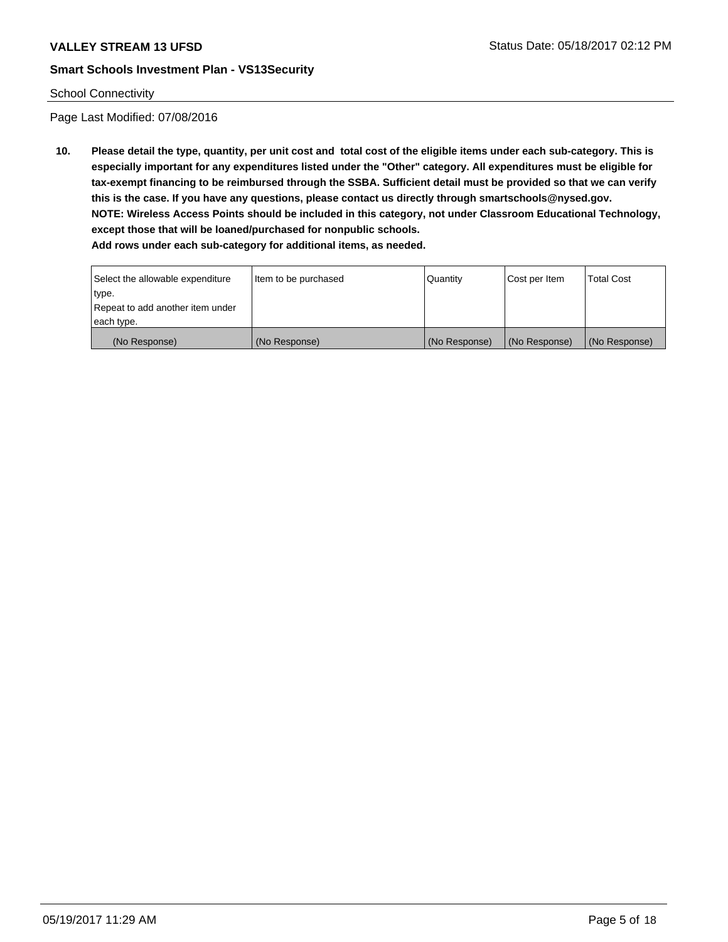### School Connectivity

Page Last Modified: 07/08/2016

**10. Please detail the type, quantity, per unit cost and total cost of the eligible items under each sub-category. This is especially important for any expenditures listed under the "Other" category. All expenditures must be eligible for tax-exempt financing to be reimbursed through the SSBA. Sufficient detail must be provided so that we can verify this is the case. If you have any questions, please contact us directly through smartschools@nysed.gov. NOTE: Wireless Access Points should be included in this category, not under Classroom Educational Technology, except those that will be loaned/purchased for nonpublic schools.**

| Select the allowable expenditure | Item to be purchased | Quantity      | Cost per Item | Total Cost    |
|----------------------------------|----------------------|---------------|---------------|---------------|
| type.                            |                      |               |               |               |
| Repeat to add another item under |                      |               |               |               |
| each type.                       |                      |               |               |               |
| (No Response)                    | (No Response)        | (No Response) | (No Response) | (No Response) |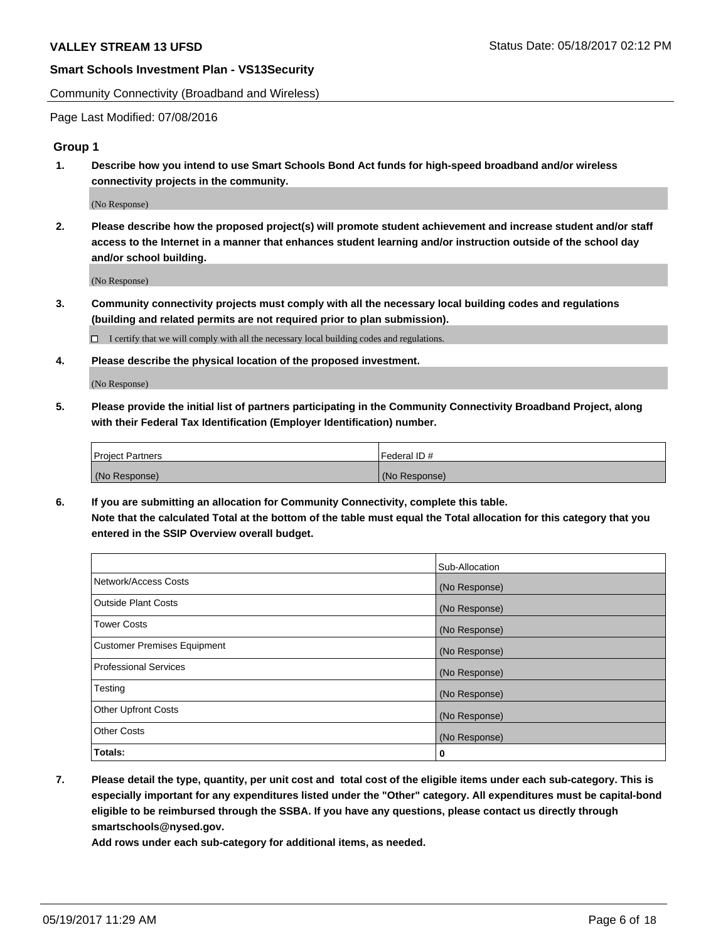Community Connectivity (Broadband and Wireless)

Page Last Modified: 07/08/2016

### **Group 1**

**1. Describe how you intend to use Smart Schools Bond Act funds for high-speed broadband and/or wireless connectivity projects in the community.**

(No Response)

**2. Please describe how the proposed project(s) will promote student achievement and increase student and/or staff access to the Internet in a manner that enhances student learning and/or instruction outside of the school day and/or school building.**

(No Response)

**3. Community connectivity projects must comply with all the necessary local building codes and regulations (building and related permits are not required prior to plan submission).**

 $\Box$  I certify that we will comply with all the necessary local building codes and regulations.

**4. Please describe the physical location of the proposed investment.**

(No Response)

**5. Please provide the initial list of partners participating in the Community Connectivity Broadband Project, along with their Federal Tax Identification (Employer Identification) number.**

| <b>Project Partners</b> | Federal ID#     |
|-------------------------|-----------------|
| (No Response)           | l (No Response) |

**6. If you are submitting an allocation for Community Connectivity, complete this table. Note that the calculated Total at the bottom of the table must equal the Total allocation for this category that you entered in the SSIP Overview overall budget.**

|                                    | Sub-Allocation |
|------------------------------------|----------------|
| Network/Access Costs               | (No Response)  |
| Outside Plant Costs                | (No Response)  |
| <b>Tower Costs</b>                 | (No Response)  |
| <b>Customer Premises Equipment</b> | (No Response)  |
| <b>Professional Services</b>       | (No Response)  |
| Testing                            | (No Response)  |
| <b>Other Upfront Costs</b>         | (No Response)  |
| <b>Other Costs</b>                 | (No Response)  |
| Totals:                            | 0              |

**7. Please detail the type, quantity, per unit cost and total cost of the eligible items under each sub-category. This is especially important for any expenditures listed under the "Other" category. All expenditures must be capital-bond eligible to be reimbursed through the SSBA. If you have any questions, please contact us directly through smartschools@nysed.gov.**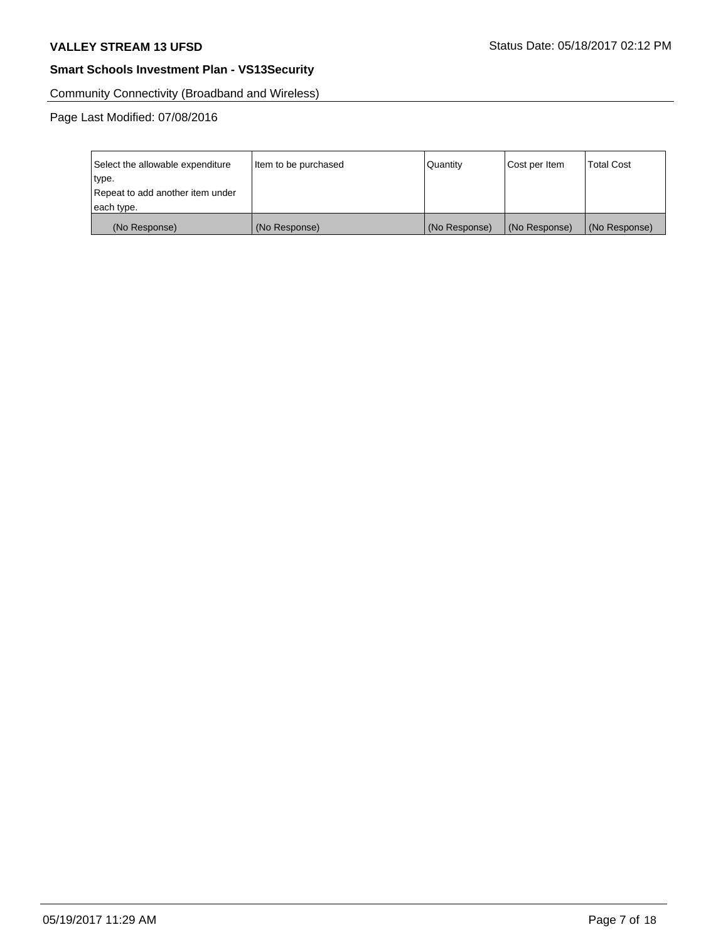Community Connectivity (Broadband and Wireless)

Page Last Modified: 07/08/2016

| Select the allowable expenditure | Item to be purchased | Quantity      | Cost per Item | <b>Total Cost</b> |
|----------------------------------|----------------------|---------------|---------------|-------------------|
| type.                            |                      |               |               |                   |
| Repeat to add another item under |                      |               |               |                   |
| each type.                       |                      |               |               |                   |
| (No Response)                    | (No Response)        | (No Response) | (No Response) | (No Response)     |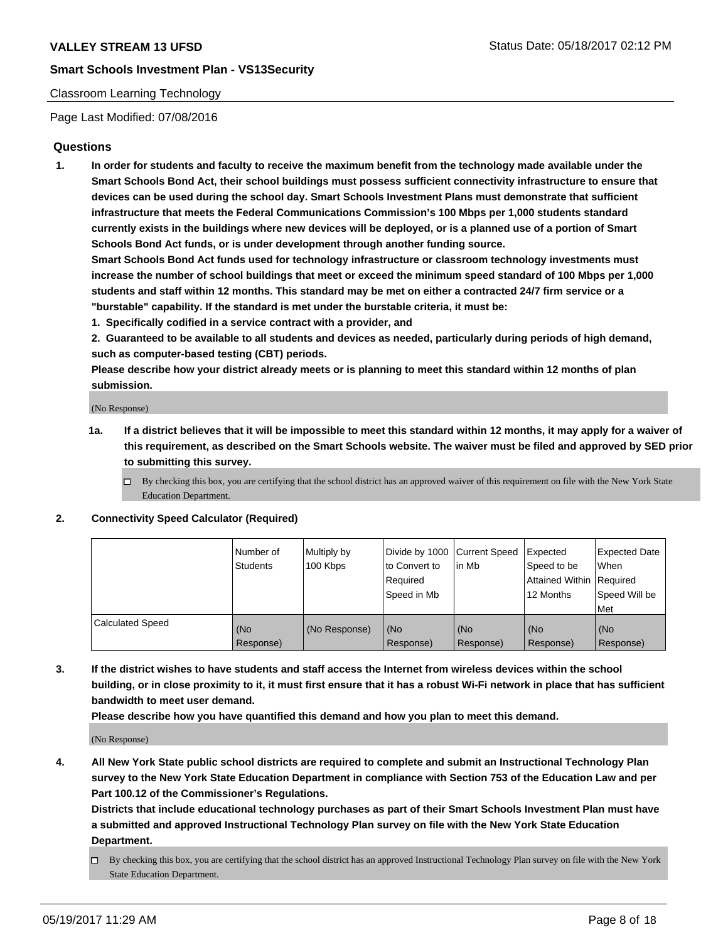### Classroom Learning Technology

Page Last Modified: 07/08/2016

### **Questions**

**1. In order for students and faculty to receive the maximum benefit from the technology made available under the Smart Schools Bond Act, their school buildings must possess sufficient connectivity infrastructure to ensure that devices can be used during the school day. Smart Schools Investment Plans must demonstrate that sufficient infrastructure that meets the Federal Communications Commission's 100 Mbps per 1,000 students standard currently exists in the buildings where new devices will be deployed, or is a planned use of a portion of Smart Schools Bond Act funds, or is under development through another funding source.**

**Smart Schools Bond Act funds used for technology infrastructure or classroom technology investments must increase the number of school buildings that meet or exceed the minimum speed standard of 100 Mbps per 1,000 students and staff within 12 months. This standard may be met on either a contracted 24/7 firm service or a "burstable" capability. If the standard is met under the burstable criteria, it must be:**

- **1. Specifically codified in a service contract with a provider, and**
- **2. Guaranteed to be available to all students and devices as needed, particularly during periods of high demand, such as computer-based testing (CBT) periods.**

**Please describe how your district already meets or is planning to meet this standard within 12 months of plan submission.**

(No Response)

- **1a. If a district believes that it will be impossible to meet this standard within 12 months, it may apply for a waiver of this requirement, as described on the Smart Schools website. The waiver must be filed and approved by SED prior to submitting this survey.**
	- $\Box$  By checking this box, you are certifying that the school district has an approved waiver of this requirement on file with the New York State Education Department.

### **2. Connectivity Speed Calculator (Required)**

|                         | l Number of<br>Students | Multiply by<br>100 Kbps | Divide by 1000   Current Speed<br>to Convert to<br>Required<br>Speed in Mb | lin Mb           | Expected<br>Speed to be<br>Attained Within Required<br>12 Months | <b>Expected Date</b><br>When<br>Speed Will be<br>Met |
|-------------------------|-------------------------|-------------------------|----------------------------------------------------------------------------|------------------|------------------------------------------------------------------|------------------------------------------------------|
| <b>Calculated Speed</b> | (No<br>Response)        | (No Response)           | (No<br>Response)                                                           | (No<br>Response) | (No<br>Response)                                                 | (No<br>Response)                                     |

**3. If the district wishes to have students and staff access the Internet from wireless devices within the school building, or in close proximity to it, it must first ensure that it has a robust Wi-Fi network in place that has sufficient bandwidth to meet user demand.**

**Please describe how you have quantified this demand and how you plan to meet this demand.**

(No Response)

**4. All New York State public school districts are required to complete and submit an Instructional Technology Plan survey to the New York State Education Department in compliance with Section 753 of the Education Law and per Part 100.12 of the Commissioner's Regulations.**

**Districts that include educational technology purchases as part of their Smart Schools Investment Plan must have a submitted and approved Instructional Technology Plan survey on file with the New York State Education Department.**

 $\Box$  By checking this box, you are certifying that the school district has an approved Instructional Technology Plan survey on file with the New York State Education Department.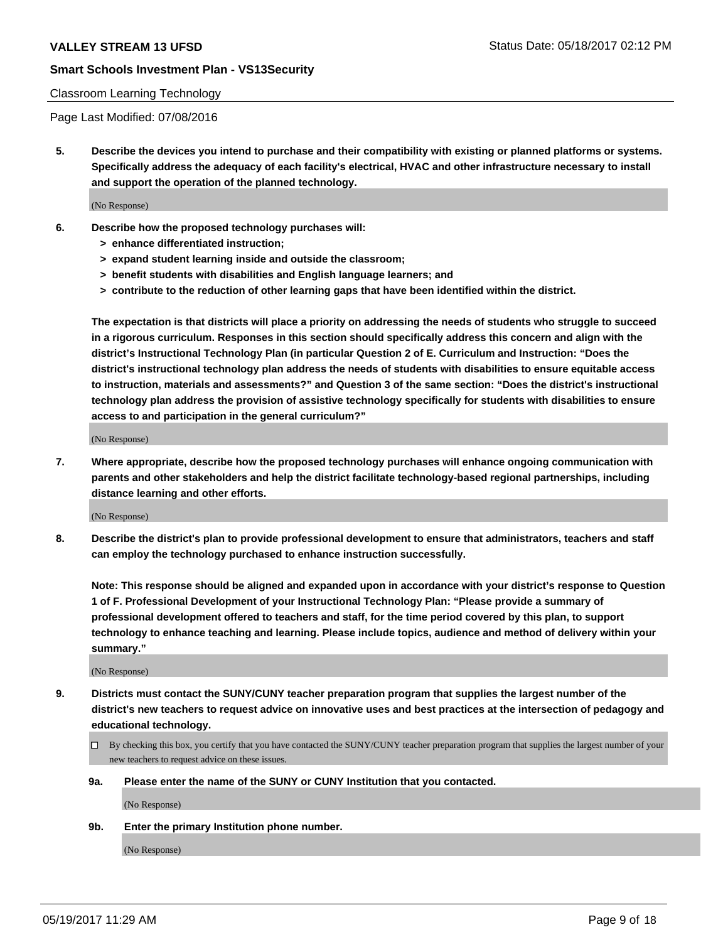### Classroom Learning Technology

Page Last Modified: 07/08/2016

**5. Describe the devices you intend to purchase and their compatibility with existing or planned platforms or systems. Specifically address the adequacy of each facility's electrical, HVAC and other infrastructure necessary to install and support the operation of the planned technology.**

(No Response)

- **6. Describe how the proposed technology purchases will:**
	- **> enhance differentiated instruction;**
	- **> expand student learning inside and outside the classroom;**
	- **> benefit students with disabilities and English language learners; and**
	- **> contribute to the reduction of other learning gaps that have been identified within the district.**

**The expectation is that districts will place a priority on addressing the needs of students who struggle to succeed in a rigorous curriculum. Responses in this section should specifically address this concern and align with the district's Instructional Technology Plan (in particular Question 2 of E. Curriculum and Instruction: "Does the district's instructional technology plan address the needs of students with disabilities to ensure equitable access to instruction, materials and assessments?" and Question 3 of the same section: "Does the district's instructional technology plan address the provision of assistive technology specifically for students with disabilities to ensure access to and participation in the general curriculum?"**

(No Response)

**7. Where appropriate, describe how the proposed technology purchases will enhance ongoing communication with parents and other stakeholders and help the district facilitate technology-based regional partnerships, including distance learning and other efforts.**

(No Response)

**8. Describe the district's plan to provide professional development to ensure that administrators, teachers and staff can employ the technology purchased to enhance instruction successfully.**

**Note: This response should be aligned and expanded upon in accordance with your district's response to Question 1 of F. Professional Development of your Instructional Technology Plan: "Please provide a summary of professional development offered to teachers and staff, for the time period covered by this plan, to support technology to enhance teaching and learning. Please include topics, audience and method of delivery within your summary."**

(No Response)

- **9. Districts must contact the SUNY/CUNY teacher preparation program that supplies the largest number of the district's new teachers to request advice on innovative uses and best practices at the intersection of pedagogy and educational technology.**
	- By checking this box, you certify that you have contacted the SUNY/CUNY teacher preparation program that supplies the largest number of your new teachers to request advice on these issues.
	- **9a. Please enter the name of the SUNY or CUNY Institution that you contacted.**

(No Response)

**9b. Enter the primary Institution phone number.**

(No Response)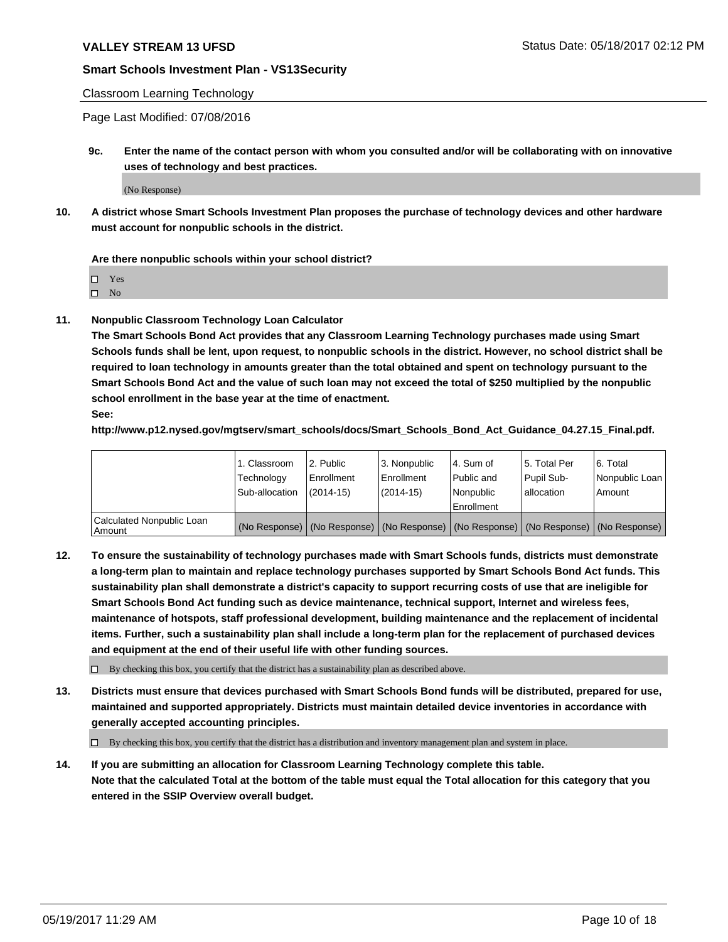### Classroom Learning Technology

Page Last Modified: 07/08/2016

**9c. Enter the name of the contact person with whom you consulted and/or will be collaborating with on innovative uses of technology and best practices.**

(No Response)

**10. A district whose Smart Schools Investment Plan proposes the purchase of technology devices and other hardware must account for nonpublic schools in the district.**

**Are there nonpublic schools within your school district?**

Yes

 $\square$  No

**11. Nonpublic Classroom Technology Loan Calculator**

**The Smart Schools Bond Act provides that any Classroom Learning Technology purchases made using Smart Schools funds shall be lent, upon request, to nonpublic schools in the district. However, no school district shall be required to loan technology in amounts greater than the total obtained and spent on technology pursuant to the Smart Schools Bond Act and the value of such loan may not exceed the total of \$250 multiplied by the nonpublic school enrollment in the base year at the time of enactment.**

**See:**

**http://www.p12.nysed.gov/mgtserv/smart\_schools/docs/Smart\_Schools\_Bond\_Act\_Guidance\_04.27.15\_Final.pdf.**

|                                       | 1. Classroom   | l 2. Public   | 3. Nonpublic | l 4. Sum of | 15. Total Per                                                                                 | 6. Total       |
|---------------------------------------|----------------|---------------|--------------|-------------|-----------------------------------------------------------------------------------------------|----------------|
|                                       | Technology     | Enrollment    | Enrollment   | Public and  | Pupil Sub-                                                                                    | Nonpublic Loan |
|                                       | Sub-allocation | $(2014 - 15)$ | $(2014-15)$  | l Nonpublic | allocation                                                                                    | Amount         |
|                                       |                |               |              | Enrollment  |                                                                                               |                |
| Calculated Nonpublic Loan<br>  Amount |                |               |              |             | (No Response)   (No Response)   (No Response)   (No Response)   (No Response)   (No Response) |                |

**12. To ensure the sustainability of technology purchases made with Smart Schools funds, districts must demonstrate a long-term plan to maintain and replace technology purchases supported by Smart Schools Bond Act funds. This sustainability plan shall demonstrate a district's capacity to support recurring costs of use that are ineligible for Smart Schools Bond Act funding such as device maintenance, technical support, Internet and wireless fees, maintenance of hotspots, staff professional development, building maintenance and the replacement of incidental items. Further, such a sustainability plan shall include a long-term plan for the replacement of purchased devices and equipment at the end of their useful life with other funding sources.**

 $\Box$  By checking this box, you certify that the district has a sustainability plan as described above.

**13. Districts must ensure that devices purchased with Smart Schools Bond funds will be distributed, prepared for use, maintained and supported appropriately. Districts must maintain detailed device inventories in accordance with generally accepted accounting principles.**

By checking this box, you certify that the district has a distribution and inventory management plan and system in place.

**14. If you are submitting an allocation for Classroom Learning Technology complete this table. Note that the calculated Total at the bottom of the table must equal the Total allocation for this category that you entered in the SSIP Overview overall budget.**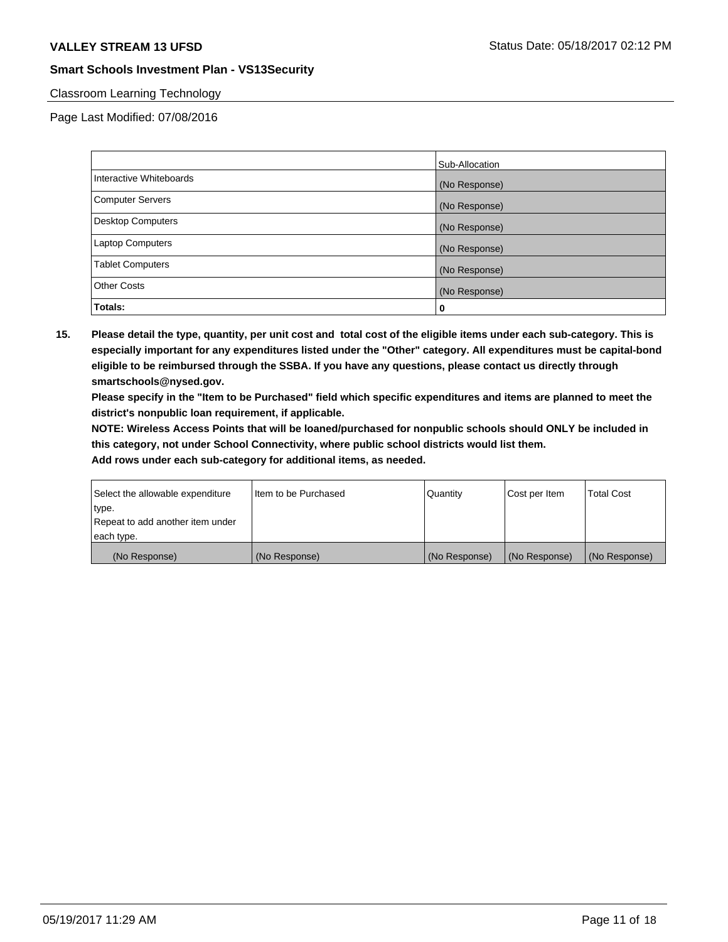### Classroom Learning Technology

Page Last Modified: 07/08/2016

|                          | Sub-Allocation |
|--------------------------|----------------|
| Interactive Whiteboards  | (No Response)  |
| <b>Computer Servers</b>  | (No Response)  |
| <b>Desktop Computers</b> | (No Response)  |
| <b>Laptop Computers</b>  | (No Response)  |
| <b>Tablet Computers</b>  | (No Response)  |
| <b>Other Costs</b>       | (No Response)  |
| Totals:                  | 0              |

**15. Please detail the type, quantity, per unit cost and total cost of the eligible items under each sub-category. This is especially important for any expenditures listed under the "Other" category. All expenditures must be capital-bond eligible to be reimbursed through the SSBA. If you have any questions, please contact us directly through smartschools@nysed.gov.**

**Please specify in the "Item to be Purchased" field which specific expenditures and items are planned to meet the district's nonpublic loan requirement, if applicable.**

**NOTE: Wireless Access Points that will be loaned/purchased for nonpublic schools should ONLY be included in this category, not under School Connectivity, where public school districts would list them.**

| type.<br>Repeat to add another item under |               |               |               |               |
|-------------------------------------------|---------------|---------------|---------------|---------------|
| each type.                                |               |               |               |               |
| (No Response)                             | (No Response) | (No Response) | (No Response) | (No Response) |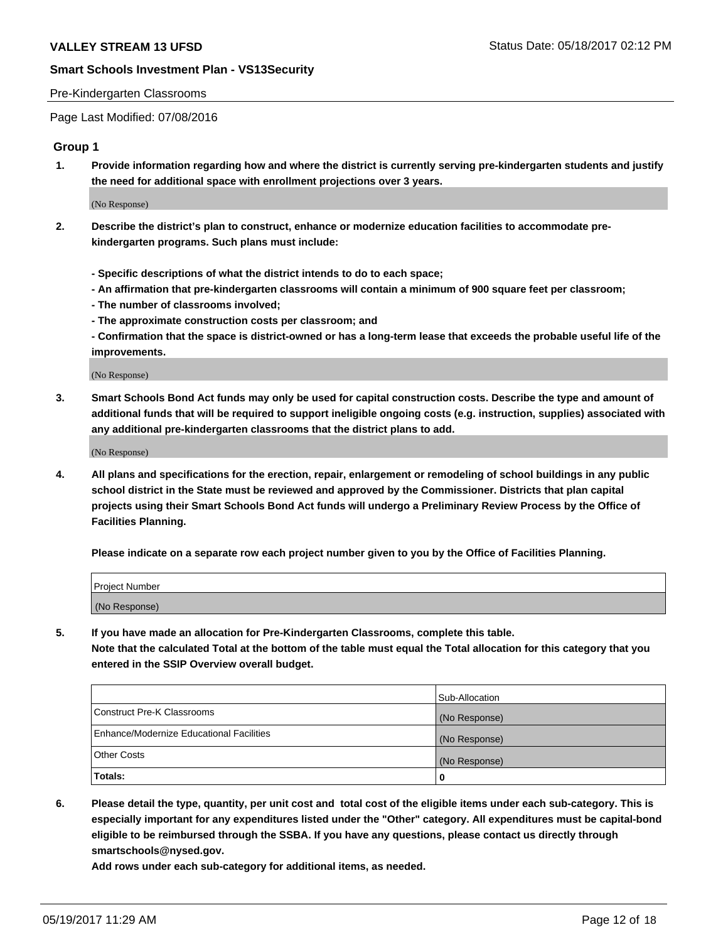### Pre-Kindergarten Classrooms

Page Last Modified: 07/08/2016

### **Group 1**

**1. Provide information regarding how and where the district is currently serving pre-kindergarten students and justify the need for additional space with enrollment projections over 3 years.**

(No Response)

- **2. Describe the district's plan to construct, enhance or modernize education facilities to accommodate prekindergarten programs. Such plans must include:**
	- **Specific descriptions of what the district intends to do to each space;**
	- **An affirmation that pre-kindergarten classrooms will contain a minimum of 900 square feet per classroom;**
	- **The number of classrooms involved;**
	- **The approximate construction costs per classroom; and**
	- **Confirmation that the space is district-owned or has a long-term lease that exceeds the probable useful life of the improvements.**

(No Response)

**3. Smart Schools Bond Act funds may only be used for capital construction costs. Describe the type and amount of additional funds that will be required to support ineligible ongoing costs (e.g. instruction, supplies) associated with any additional pre-kindergarten classrooms that the district plans to add.**

(No Response)

**4. All plans and specifications for the erection, repair, enlargement or remodeling of school buildings in any public school district in the State must be reviewed and approved by the Commissioner. Districts that plan capital projects using their Smart Schools Bond Act funds will undergo a Preliminary Review Process by the Office of Facilities Planning.**

**Please indicate on a separate row each project number given to you by the Office of Facilities Planning.**

| Project Number |  |
|----------------|--|
| (No Response)  |  |

**5. If you have made an allocation for Pre-Kindergarten Classrooms, complete this table. Note that the calculated Total at the bottom of the table must equal the Total allocation for this category that you entered in the SSIP Overview overall budget.**

| Totals:                                  | 0              |
|------------------------------------------|----------------|
| Other Costs                              | (No Response)  |
| Enhance/Modernize Educational Facilities | (No Response)  |
| Construct Pre-K Classrooms               | (No Response)  |
|                                          | Sub-Allocation |

**6. Please detail the type, quantity, per unit cost and total cost of the eligible items under each sub-category. This is especially important for any expenditures listed under the "Other" category. All expenditures must be capital-bond eligible to be reimbursed through the SSBA. If you have any questions, please contact us directly through smartschools@nysed.gov.**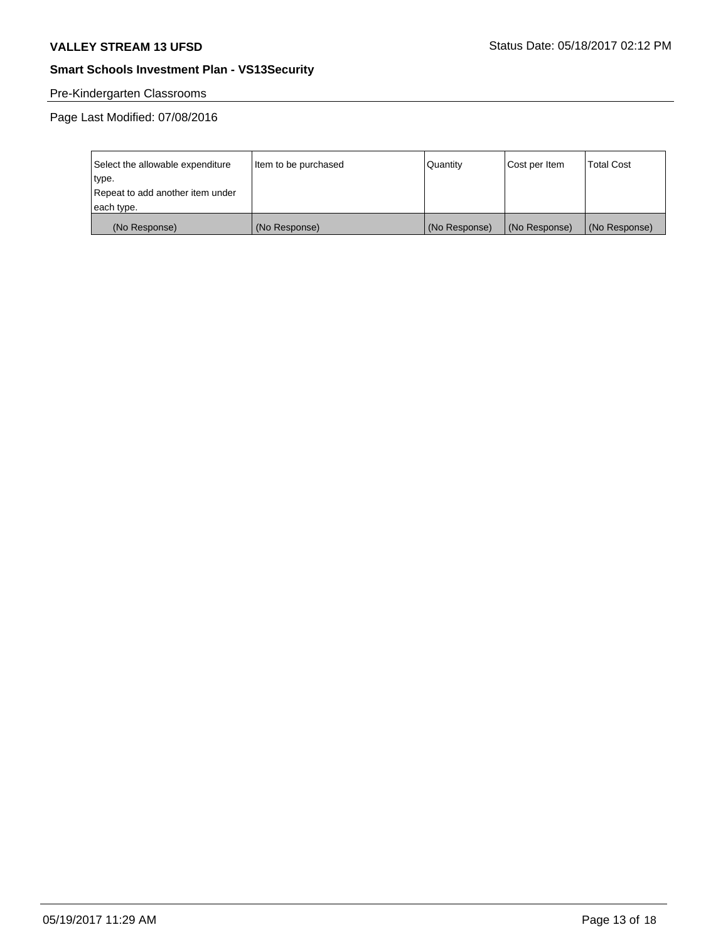# Pre-Kindergarten Classrooms

Page Last Modified: 07/08/2016

| Select the allowable expenditure | Item to be purchased | Quantity      | Cost per Item | <b>Total Cost</b> |
|----------------------------------|----------------------|---------------|---------------|-------------------|
| type.                            |                      |               |               |                   |
| Repeat to add another item under |                      |               |               |                   |
| each type.                       |                      |               |               |                   |
| (No Response)                    | (No Response)        | (No Response) | (No Response) | (No Response)     |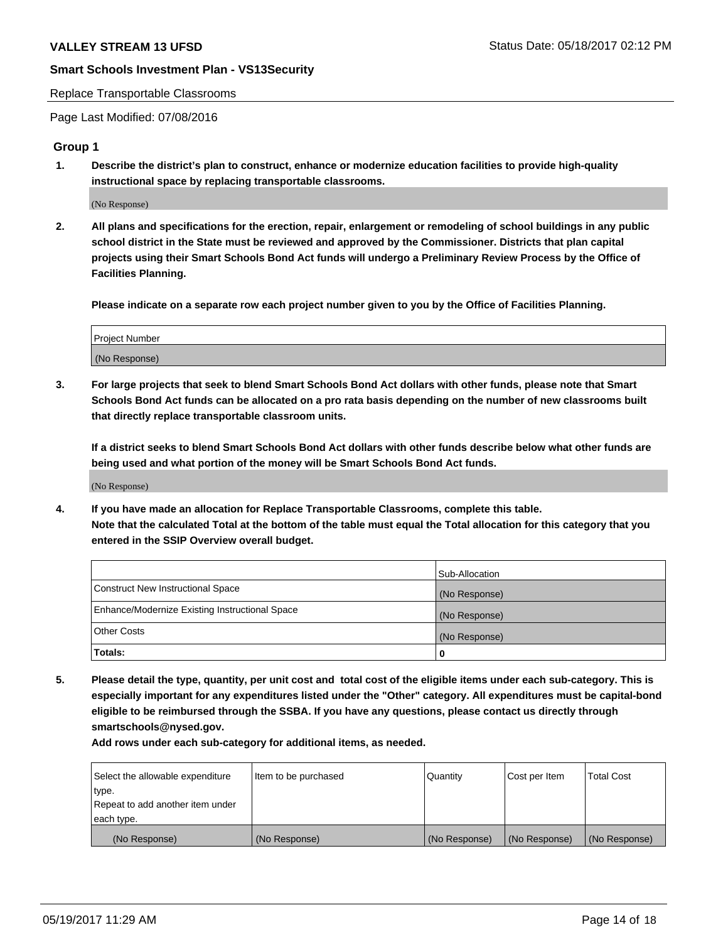### Replace Transportable Classrooms

Page Last Modified: 07/08/2016

### **Group 1**

**1. Describe the district's plan to construct, enhance or modernize education facilities to provide high-quality instructional space by replacing transportable classrooms.**

(No Response)

**2. All plans and specifications for the erection, repair, enlargement or remodeling of school buildings in any public school district in the State must be reviewed and approved by the Commissioner. Districts that plan capital projects using their Smart Schools Bond Act funds will undergo a Preliminary Review Process by the Office of Facilities Planning.**

**Please indicate on a separate row each project number given to you by the Office of Facilities Planning.**

| Project Number |  |
|----------------|--|
| (No Response)  |  |

**3. For large projects that seek to blend Smart Schools Bond Act dollars with other funds, please note that Smart Schools Bond Act funds can be allocated on a pro rata basis depending on the number of new classrooms built that directly replace transportable classroom units.**

**If a district seeks to blend Smart Schools Bond Act dollars with other funds describe below what other funds are being used and what portion of the money will be Smart Schools Bond Act funds.**

(No Response)

**4. If you have made an allocation for Replace Transportable Classrooms, complete this table. Note that the calculated Total at the bottom of the table must equal the Total allocation for this category that you entered in the SSIP Overview overall budget.**

|                                                | Sub-Allocation |
|------------------------------------------------|----------------|
| Construct New Instructional Space              | (No Response)  |
| Enhance/Modernize Existing Instructional Space | (No Response)  |
| Other Costs                                    | (No Response)  |
| Totals:                                        | 0              |

**5. Please detail the type, quantity, per unit cost and total cost of the eligible items under each sub-category. This is especially important for any expenditures listed under the "Other" category. All expenditures must be capital-bond eligible to be reimbursed through the SSBA. If you have any questions, please contact us directly through smartschools@nysed.gov.**

| Select the allowable expenditure | Item to be purchased | Quantity      | Cost per Item | <b>Total Cost</b> |
|----------------------------------|----------------------|---------------|---------------|-------------------|
| type.                            |                      |               |               |                   |
| Repeat to add another item under |                      |               |               |                   |
| each type.                       |                      |               |               |                   |
| (No Response)                    | (No Response)        | (No Response) | (No Response) | (No Response)     |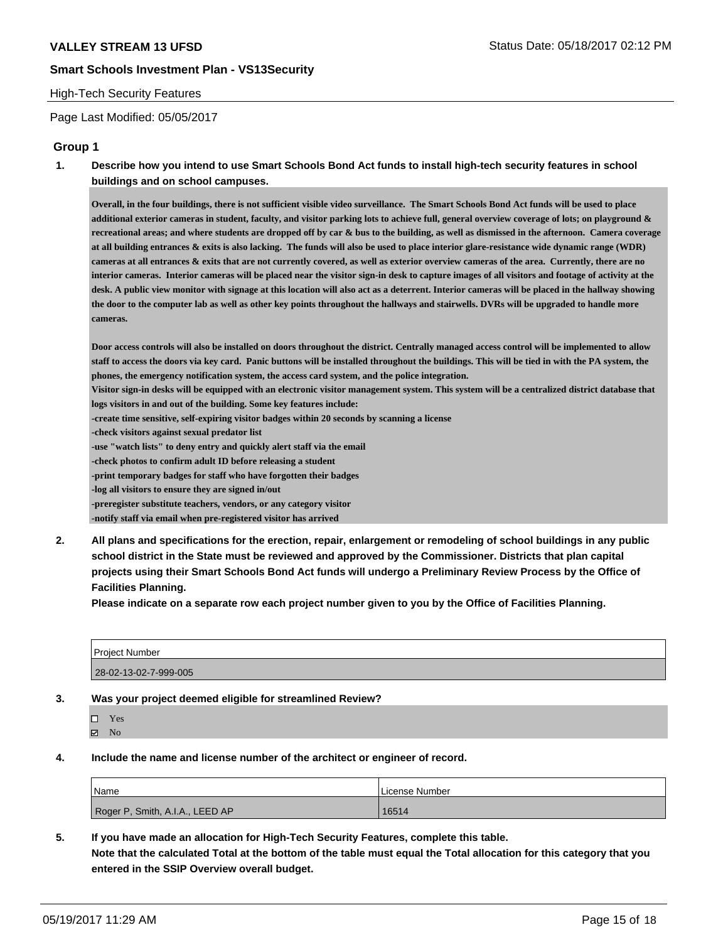### High-Tech Security Features

Page Last Modified: 05/05/2017

### **Group 1**

**1. Describe how you intend to use Smart Schools Bond Act funds to install high-tech security features in school buildings and on school campuses.**

**Overall, in the four buildings, there is not sufficient visible video surveillance. The Smart Schools Bond Act funds will be used to place additional exterior cameras in student, faculty, and visitor parking lots to achieve full, general overview coverage of lots; on playground & recreational areas; and where students are dropped off by car & bus to the building, as well as dismissed in the afternoon. Camera coverage at all building entrances & exits is also lacking. The funds will also be used to place interior glare-resistance wide dynamic range (WDR) cameras at all entrances & exits that are not currently covered, as well as exterior overview cameras of the area. Currently, there are no interior cameras. Interior cameras will be placed near the visitor sign-in desk to capture images of all visitors and footage of activity at the desk. A public view monitor with signage at this location will also act as a deterrent. Interior cameras will be placed in the hallway showing the door to the computer lab as well as other key points throughout the hallways and stairwells. DVRs will be upgraded to handle more cameras.**

**Door access controls will also be installed on doors throughout the district. Centrally managed access control will be implemented to allow staff to access the doors via key card. Panic buttons will be installed throughout the buildings. This will be tied in with the PA system, the phones, the emergency notification system, the access card system, and the police integration.**

**Visitor sign-in desks will be equipped with an electronic visitor management system. This system will be a centralized district database that logs visitors in and out of the building. Some key features include:**

**-create time sensitive, self-expiring visitor badges within 20 seconds by scanning a license**

**-check visitors against sexual predator list**

**-use "watch lists" to deny entry and quickly alert staff via the email**

**-check photos to confirm adult ID before releasing a student**

**-print temporary badges for staff who have forgotten their badges**

**-log all visitors to ensure they are signed in/out**

**-preregister substitute teachers, vendors, or any category visitor**

**-notify staff via email when pre-registered visitor has arrived**

**2. All plans and specifications for the erection, repair, enlargement or remodeling of school buildings in any public school district in the State must be reviewed and approved by the Commissioner. Districts that plan capital projects using their Smart Schools Bond Act funds will undergo a Preliminary Review Process by the Office of Facilities Planning.** 

**Please indicate on a separate row each project number given to you by the Office of Facilities Planning.**

| Project Number        |  |
|-----------------------|--|
| 28-02-13-02-7-999-005 |  |

- **3. Was your project deemed eligible for streamlined Review?**
	- Yes  $\boxtimes$  No
- **4. Include the name and license number of the architect or engineer of record.**

| <b>Name</b>                     | License Number |
|---------------------------------|----------------|
| Roger P, Smith, A.I.A., LEED AP | 16514          |

**5. If you have made an allocation for High-Tech Security Features, complete this table. Note that the calculated Total at the bottom of the table must equal the Total allocation for this category that you entered in the SSIP Overview overall budget.**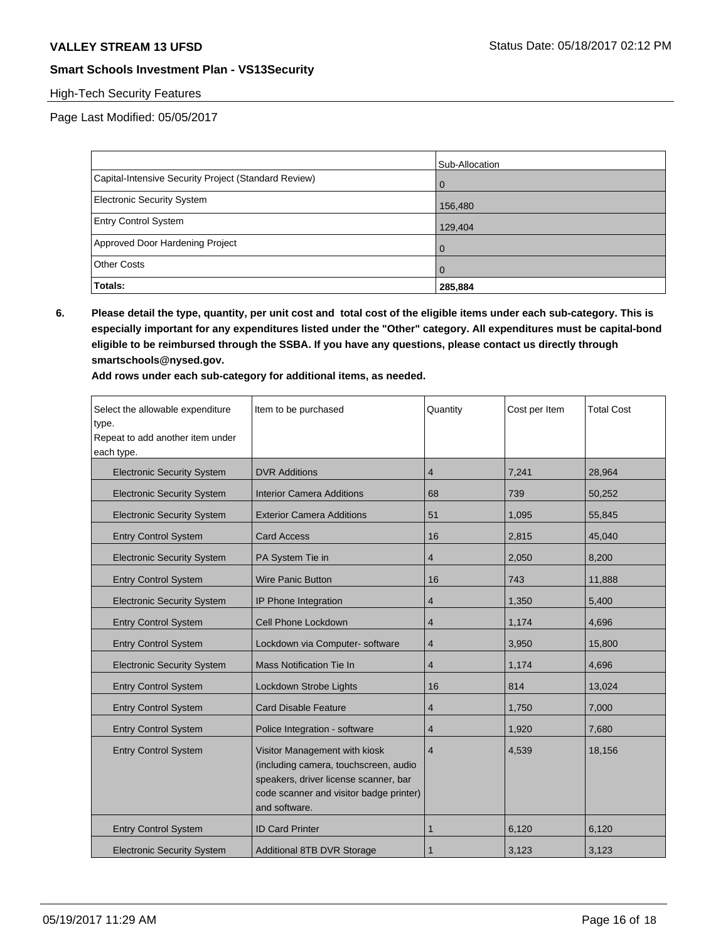# High-Tech Security Features

Page Last Modified: 05/05/2017

|                                                      | Sub-Allocation |
|------------------------------------------------------|----------------|
| Capital-Intensive Security Project (Standard Review) | l 0            |
| Electronic Security System                           | 156,480        |
| <b>Entry Control System</b>                          | 129,404        |
| Approved Door Hardening Project                      | l 0            |
| <b>Other Costs</b>                                   | $\overline{0}$ |
| Totals:                                              | 285,884        |

**6. Please detail the type, quantity, per unit cost and total cost of the eligible items under each sub-category. This is especially important for any expenditures listed under the "Other" category. All expenditures must be capital-bond eligible to be reimbursed through the SSBA. If you have any questions, please contact us directly through smartschools@nysed.gov.**

| Select the allowable expenditure<br>type.<br>Repeat to add another item under<br>each type. | Item to be purchased                                                                                                                                                        | Quantity       | Cost per Item | <b>Total Cost</b> |
|---------------------------------------------------------------------------------------------|-----------------------------------------------------------------------------------------------------------------------------------------------------------------------------|----------------|---------------|-------------------|
| <b>Electronic Security System</b>                                                           | <b>DVR Additions</b>                                                                                                                                                        | 4              | 7,241         | 28,964            |
| <b>Electronic Security System</b>                                                           | <b>Interior Camera Additions</b>                                                                                                                                            | 68             | 739           | 50,252            |
| <b>Electronic Security System</b>                                                           | <b>Exterior Camera Additions</b>                                                                                                                                            | 51             | 1,095         | 55,845            |
| <b>Entry Control System</b>                                                                 | <b>Card Access</b>                                                                                                                                                          | 16             | 2,815         | 45,040            |
| <b>Electronic Security System</b>                                                           | PA System Tie in                                                                                                                                                            | $\overline{4}$ | 2,050         | 8,200             |
| <b>Entry Control System</b>                                                                 | <b>Wire Panic Button</b>                                                                                                                                                    | 16             | 743           | 11,888            |
| <b>Electronic Security System</b>                                                           | IP Phone Integration                                                                                                                                                        | $\overline{4}$ | 1,350         | 5,400             |
| <b>Entry Control System</b>                                                                 | Cell Phone Lockdown                                                                                                                                                         | $\overline{4}$ | 1,174         | 4,696             |
| <b>Entry Control System</b>                                                                 | Lockdown via Computer- software                                                                                                                                             | $\overline{4}$ | 3,950         | 15,800            |
| <b>Electronic Security System</b>                                                           | Mass Notification Tie In                                                                                                                                                    | $\overline{4}$ | 1,174         | 4,696             |
| <b>Entry Control System</b>                                                                 | Lockdown Strobe Lights                                                                                                                                                      | 16             | 814           | 13,024            |
| <b>Entry Control System</b>                                                                 | <b>Card Disable Feature</b>                                                                                                                                                 | $\overline{4}$ | 1,750         | 7,000             |
| <b>Entry Control System</b>                                                                 | Police Integration - software                                                                                                                                               | $\overline{4}$ | 1,920         | 7,680             |
| <b>Entry Control System</b>                                                                 | Visitor Management with kiosk<br>(including camera, touchscreen, audio<br>speakers, driver license scanner, bar<br>code scanner and visitor badge printer)<br>and software. | $\overline{4}$ | 4,539         | 18,156            |
| <b>Entry Control System</b>                                                                 | <b>ID Card Printer</b>                                                                                                                                                      |                | 6,120         | 6,120             |
| <b>Electronic Security System</b>                                                           | Additional 8TB DVR Storage                                                                                                                                                  |                | 3,123         | 3,123             |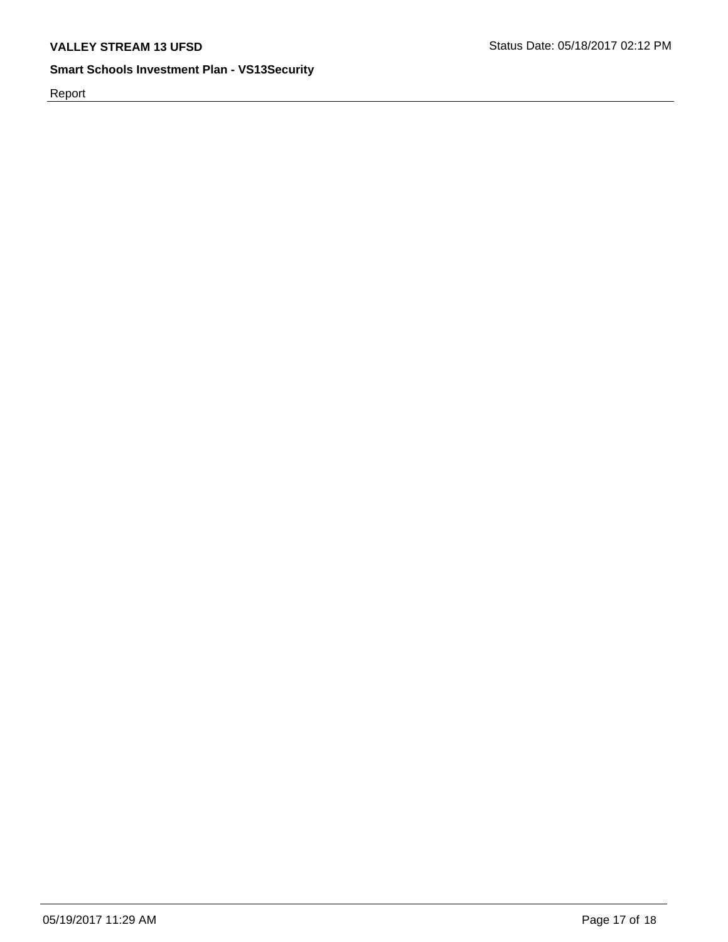Report